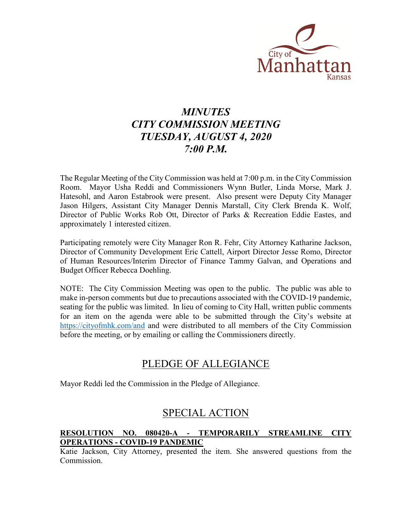

# *MINUTES CITY COMMISSION MEETING TUESDAY, AUGUST 4, 2020 7:00 P.M.*

The Regular Meeting of the City Commission was held at 7:00 p.m. in the City Commission Room. Mayor Usha Reddi and Commissioners Wynn Butler, Linda Morse, Mark J. Hatesohl, and Aaron Estabrook were present. Also present were Deputy City Manager Jason Hilgers, Assistant City Manager Dennis Marstall, City Clerk Brenda K. Wolf, Director of Public Works Rob Ott, Director of Parks & Recreation Eddie Eastes, and approximately 1 interested citizen.

Participating remotely were City Manager Ron R. Fehr, City Attorney Katharine Jackson, Director of Community Development Eric Cattell, Airport Director Jesse Romo, Director of Human Resources/Interim Director of Finance Tammy Galvan, and Operations and Budget Officer Rebecca Doehling.

NOTE: The City Commission Meeting was open to the public. The public was able to make in-person comments but due to precautions associated with the COVID-19 pandemic, seating for the public was limited. In lieu of coming to City Hall, written public comments for an item on the agenda were able to be submitted through the City's website at <https://cityofmhk.com/and> and were distributed to all members of the City Commission before the meeting, or by emailing or calling the Commissioners directly.

## PLEDGE OF ALLEGIANCE

Mayor Reddi led the Commission in the Pledge of Allegiance.

## SPECIAL ACTION

## **RESOLUTION NO. 080420-A - TEMPORARILY STREAMLINE CITY OPERATIONS - COVID-19 PANDEMIC**

Katie Jackson, City Attorney, presented the item. She answered questions from the Commission.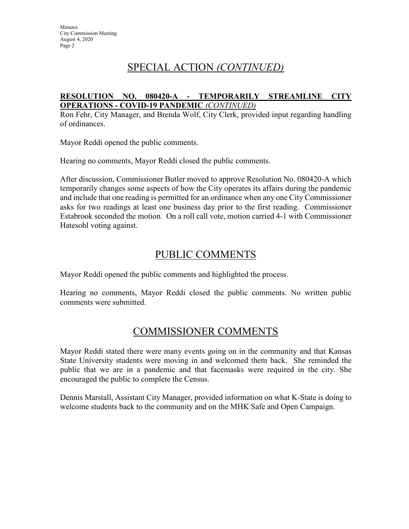## SPECIAL ACTION *(CONTINUED)*

### **RESOLUTION NO. 080420-A - TEMPORARILY STREAMLINE CITY OPERATIONS - COVID-19 PANDEMIC** *(CONTINUED)*

Ron Fehr, City Manager, and Brenda Wolf, City Clerk, provided input regarding handling of ordinances.

Mayor Reddi opened the public comments.

Hearing no comments, Mayor Reddi closed the public comments.

After discussion, Commissioner Butler moved to approve Resolution No. 080420-A which temporarily changes some aspects of how the City operates its affairs during the pandemic and include that one reading is permitted for an ordinance when any one City Commissioner asks for two readings at least one business day prior to the first reading. Commissioner Estabrook seconded the motion. On a roll call vote, motion carried 4-1 with Commissioner Hatesohl voting against.

## PUBLIC COMMENTS

Mayor Reddi opened the public comments and highlighted the process.

Hearing no comments, Mayor Reddi closed the public comments. No written public comments were submitted.

## COMMISSIONER COMMENTS

Mayor Reddi stated there were many events going on in the community and that Kansas State University students were moving in and welcomed them back. She reminded the public that we are in a pandemic and that facemasks were required in the city. She encouraged the public to complete the Census.

Dennis Marstall, Assistant City Manager, provided information on what K-State is doing to welcome students back to the community and on the MHK Safe and Open Campaign.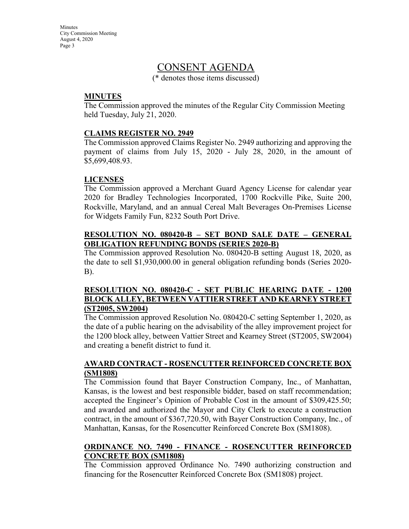**Minutes** City Commission Meeting August 4, 2020 Page 3

## CONSENT AGENDA

(\* denotes those items discussed)

## **MINUTES**

The Commission approved the minutes of the Regular City Commission Meeting held Tuesday, July 21, 2020.

### **CLAIMS REGISTER NO. 2949**

The Commission approved Claims Register No. 2949 authorizing and approving the payment of claims from July 15, 2020 - July 28, 2020, in the amount of \$5,699,408.93.

## **LICENSES**

The Commission approved a Merchant Guard Agency License for calendar year 2020 for Bradley Technologies Incorporated, 1700 Rockville Pike, Suite 200, Rockville, Maryland, and an annual Cereal Malt Beverages On-Premises License for Widgets Family Fun, 8232 South Port Drive.

### **RESOLUTION NO. 080420-B – SET BOND SALE DATE – GENERAL OBLIGATION REFUNDING BONDS (SERIES 2020-B)**

The Commission approved Resolution No. 080420-B setting August 18, 2020, as the date to sell \$1,930,000.00 in general obligation refunding bonds (Series 2020- B).

### **RESOLUTION NO. 080420-C - SET PUBLIC HEARING DATE - 1200 BLOCK ALLEY, BETWEEN VATTIER STREET AND KEARNEY STREET (ST2005, SW2004)**

The Commission approved Resolution No. 080420-C setting September 1, 2020, as the date of a public hearing on the advisability of the alley improvement project for the 1200 block alley, between Vattier Street and Kearney Street (ST2005, SW2004) and creating a benefit district to fund it.

### **AWARD CONTRACT - ROSENCUTTER REINFORCED CONCRETE BOX (SM1808)**

The Commission found that Bayer Construction Company, Inc., of Manhattan, Kansas, is the lowest and best responsible bidder, based on staff recommendation; accepted the Engineer's Opinion of Probable Cost in the amount of \$309,425.50; and awarded and authorized the Mayor and City Clerk to execute a construction contract, in the amount of \$367,720.50, with Bayer Construction Company, Inc., of Manhattan, Kansas, for the Rosencutter Reinforced Concrete Box (SM1808).

## **ORDINANCE NO. 7490 - FINANCE - ROSENCUTTER REINFORCED CONCRETE BOX (SM1808)**

The Commission approved Ordinance No. 7490 authorizing construction and financing for the Rosencutter Reinforced Concrete Box (SM1808) project.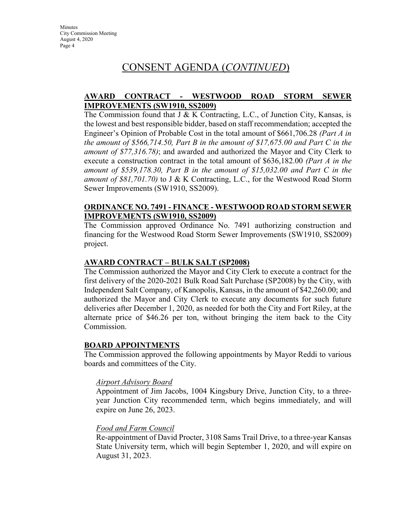## CONSENT AGENDA (*CONTINUED*)

## **AWARD CONTRACT - WESTWOOD ROAD STORM SEWER IMPROVEMENTS (SW1910, SS2009)**

The Commission found that  $J \& K$  Contracting, L.C., of Junction City, Kansas, is the lowest and best responsible bidder, based on staff recommendation; accepted the Engineer's Opinion of Probable Cost in the total amount of \$661,706.28 *(Part A in the amount of \$566,714.50, Part B in the amount of \$17,675.00 and Part C in the amount of \$77,316.78)*; and awarded and authorized the Mayor and City Clerk to execute a construction contract in the total amount of \$636,182.00 *(Part A in the amount of \$539,178.30, Part B in the amount of \$15,032.00 and Part C in the amount of \$81,701.70)* to J & K Contracting, L.C., for the Westwood Road Storm Sewer Improvements (SW1910, SS2009).

#### **ORDINANCE NO. 7491 - FINANCE - WESTWOOD ROAD STORM SEWER IMPROVEMENTS (SW1910, SS2009)**

The Commission approved Ordinance No. 7491 authorizing construction and financing for the Westwood Road Storm Sewer Improvements (SW1910, SS2009) project.

### **AWARD CONTRACT – BULK SALT (SP2008)**

The Commission authorized the Mayor and City Clerk to execute a contract for the first delivery of the 2020-2021 Bulk Road Salt Purchase (SP2008) by the City, with Independent Salt Company, of Kanopolis, Kansas, in the amount of \$42,260.00; and authorized the Mayor and City Clerk to execute any documents for such future deliveries after December 1, 2020, as needed for both the City and Fort Riley, at the alternate price of \$46.26 per ton, without bringing the item back to the City Commission.

#### **BOARD APPOINTMENTS**

The Commission approved the following appointments by Mayor Reddi to various boards and committees of the City.

#### *Airport Advisory Board*

Appointment of Jim Jacobs, 1004 Kingsbury Drive, Junction City, to a threeyear Junction City recommended term, which begins immediately, and will expire on June 26, 2023.

#### *Food and Farm Council*

Re-appointment of David Procter, 3108 Sams Trail Drive, to a three-year Kansas State University term, which will begin September 1, 2020, and will expire on August 31, 2023.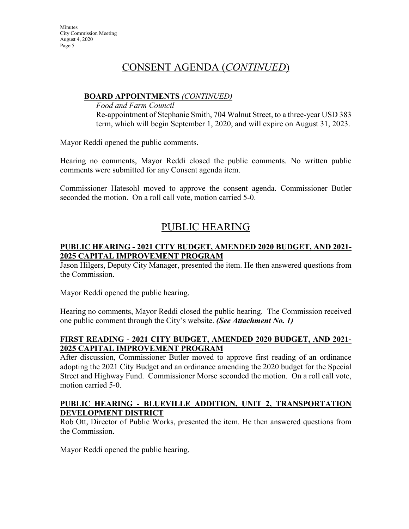## CONSENT AGENDA (*CONTINUED*)

## **BOARD APPOINTMENTS** *(CONTINUED)*

*Food and Farm Council*

Re-appointment of Stephanie Smith, 704 Walnut Street, to a three-year USD 383 term, which will begin September 1, 2020, and will expire on August 31, 2023.

Mayor Reddi opened the public comments.

Hearing no comments, Mayor Reddi closed the public comments. No written public comments were submitted for any Consent agenda item.

Commissioner Hatesohl moved to approve the consent agenda. Commissioner Butler seconded the motion. On a roll call vote, motion carried 5-0.

## PUBLIC HEARING

## **PUBLIC HEARING - 2021 CITY BUDGET, AMENDED 2020 BUDGET, AND 2021- 2025 CAPITAL IMPROVEMENT PROGRAM**

Jason Hilgers, Deputy City Manager, presented the item. He then answered questions from the Commission.

Mayor Reddi opened the public hearing.

Hearing no comments, Mayor Reddi closed the public hearing. The Commission received one public comment through the City's website. *(See Attachment No. 1)*

## **FIRST READING - 2021 CITY BUDGET, AMENDED 2020 BUDGET, AND 2021- 2025 CAPITAL IMPROVEMENT PROGRAM**

After discussion, Commissioner Butler moved to approve first reading of an ordinance adopting the 2021 City Budget and an ordinance amending the 2020 budget for the Special Street and Highway Fund. Commissioner Morse seconded the motion. On a roll call vote, motion carried 5-0.

## **PUBLIC HEARING - BLUEVILLE ADDITION, UNIT 2, TRANSPORTATION DEVELOPMENT DISTRICT**

Rob Ott, Director of Public Works, presented the item. He then answered questions from the Commission.

Mayor Reddi opened the public hearing.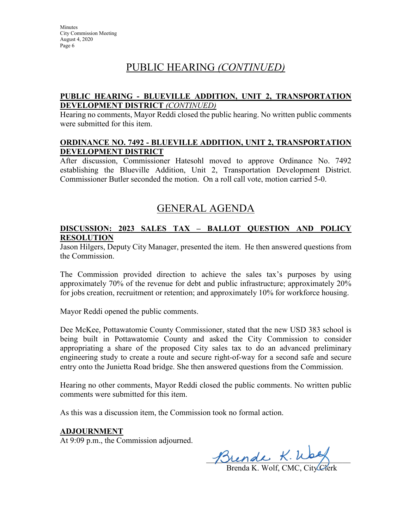## PUBLIC HEARING *(CONTINUED)*

## **PUBLIC HEARING - BLUEVILLE ADDITION, UNIT 2, TRANSPORTATION DEVELOPMENT DISTRICT** *(CONTINUED)*

Hearing no comments, Mayor Reddi closed the public hearing. No written public comments were submitted for this item.

#### **ORDINANCE NO. 7492 - BLUEVILLE ADDITION, UNIT 2, TRANSPORTATION DEVELOPMENT DISTRICT**

After discussion, Commissioner Hatesohl moved to approve Ordinance No. 7492 establishing the Blueville Addition, Unit 2, Transportation Development District. Commissioner Butler seconded the motion. On a roll call vote, motion carried 5-0.

## GENERAL AGENDA

## **DISCUSSION: 2023 SALES TAX – BALLOT QUESTION AND POLICY RESOLUTION**

Jason Hilgers, Deputy City Manager, presented the item. He then answered questions from the Commission.

The Commission provided direction to achieve the sales tax's purposes by using approximately 70% of the revenue for debt and public infrastructure; approximately 20% for jobs creation, recruitment or retention; and approximately 10% for workforce housing.

Mayor Reddi opened the public comments.

Dee McKee, Pottawatomie County Commissioner, stated that the new USD 383 school is being built in Pottawatomie County and asked the City Commission to consider appropriating a share of the proposed City sales tax to do an advanced preliminary engineering study to create a route and secure right-of-way for a second safe and secure entry onto the Junietta Road bridge. She then answered questions from the Commission.

Hearing no other comments, Mayor Reddi closed the public comments. No written public comments were submitted for this item.

As this was a discussion item, the Commission took no formal action.

#### **ADJOURNMENT**

At 9:09 p.m., the Commission adjourned.

 $J\mathcal{D}$ lende  $\kappa$ . Wag

Brenda K. Wolf, CMC, City Clerk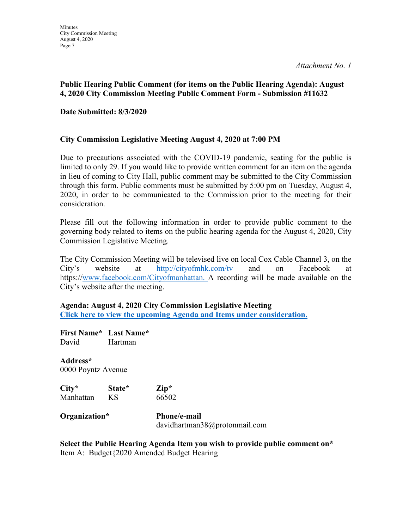## **Public Hearing Public Comment (for items on the Public Hearing Agenda): August 4, 2020 City Commission Meeting Public Comment Form - Submission #11632**

## **Date Submitted: 8/3/2020**

## **City Commission Legislative Meeting August 4, 2020 at 7:00 PM**

Due to precautions associated with the COVID-19 pandemic, seating for the public is limited to only 29. If you would like to provide written comment for an item on the agenda in lieu of coming to City Hall, public comment may be submitted to the City Commission through this form. Public comments must be submitted by 5:00 pm on Tuesday, August 4, 2020, in order to be communicated to the Commission prior to the meeting for their consideration.

Please fill out the following information in order to provide public comment to the governing body related to items on the public hearing agenda for the August 4, 2020, City Commission Legislative Meeting.

The City Commission Meeting will be televised live on local Cox Cable Channel 3, on the City's website at [http://cityofmhk.com/tv a](http://cityofmhk.com/tv)nd on Facebook at https:/[/www.facebook.com/Cityofmanhattan. A](http://www.facebook.com/Cityofmanhattan) recording will be made available on the City's website after the meeting.

**Agenda: August 4, 2020 City Commission Legislative Meeting [Click here to view the upcoming Agenda and Items under consideration.](https://cityofmhk.com/Archive.aspx?ADID=7381)**

**First Name\* Last Name\*** David Hartman

**Address\*** 0000 Poyntz Avenue

| $City*$   | State* | $\mathbf{Zip}^*$ |
|-----------|--------|------------------|
| Manhattan | ΚS     | 66502            |

**Organization\* Phone/e-mail** davidhartman38@protonmail.com

**Select the Public Hearing Agenda Item you wish to provide public comment on\*** Item A: Budget{2020 Amended Budget Hearing